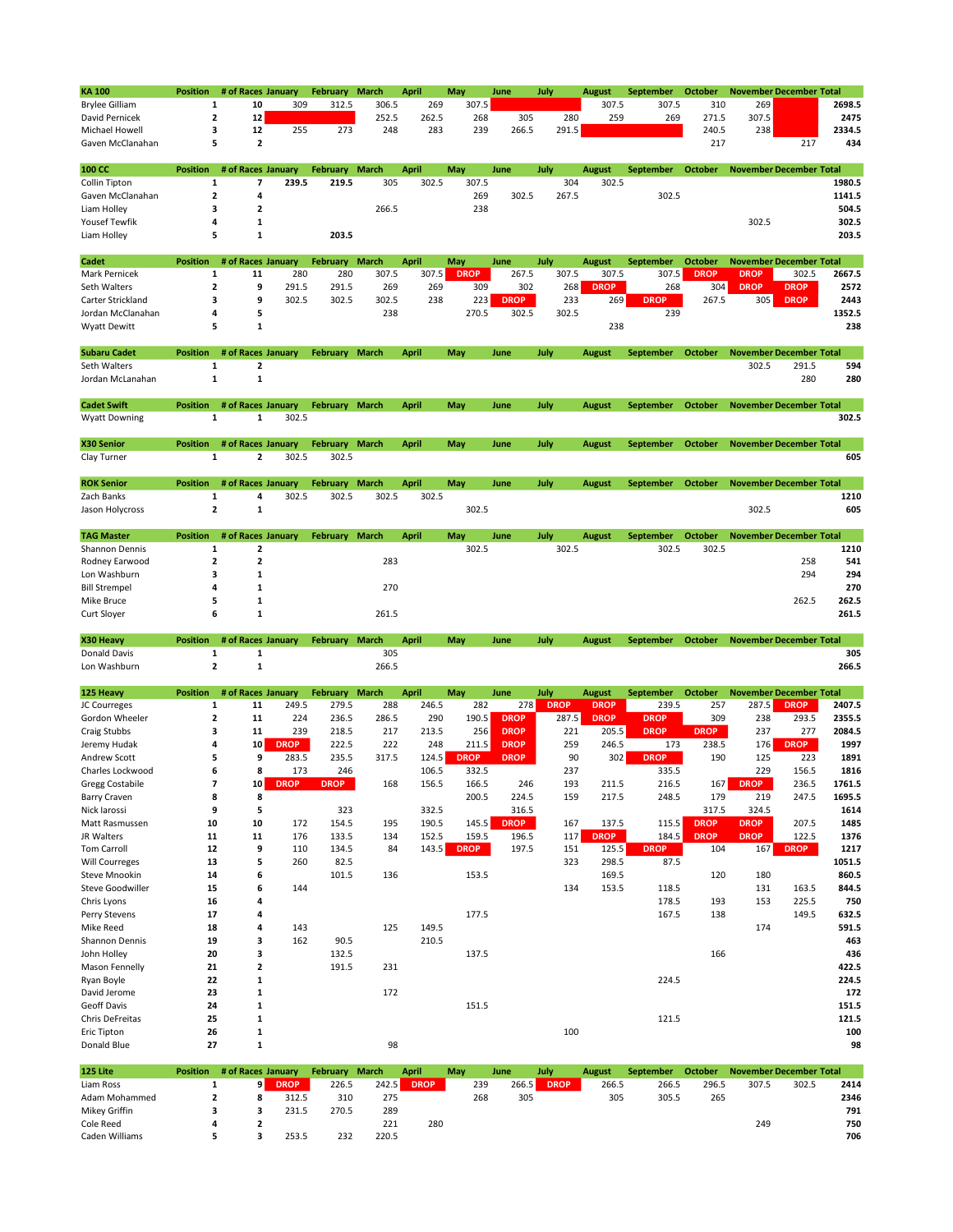|                                   | <b>Position</b>              | # of Races January      |             | February              |              |              | May                |              |              |                      |                    | <b>October</b> |             | <b>November December Total</b> |                |
|-----------------------------------|------------------------------|-------------------------|-------------|-----------------------|--------------|--------------|--------------------|--------------|--------------|----------------------|--------------------|----------------|-------------|--------------------------------|----------------|
| KA 100<br><b>Brylee Gilliam</b>   |                              |                         |             |                       | March        | <b>April</b> |                    | June         | July         | <b>August</b>        | <b>September</b>   |                |             |                                |                |
|                                   | 1                            | 10                      | 309         | 312.5                 | 306.5        | 269          | 307.5              |              |              | 307.5                | 307.5              | 310            | 269         |                                | 2698.5         |
| David Pernicek                    | $\overline{\mathbf{2}}$<br>3 | 12                      | 255         | 273                   | 252.5        | 262.5        | 268                | 305          | 280<br>291.5 | 259                  | 269                | 271.5          | 307.5       |                                | 2475<br>2334.5 |
| Michael Howell                    |                              | 12                      |             |                       | 248          | 283          | 239                | 266.5        |              |                      |                    | 240.5          | 238         |                                |                |
| Gaven McClanahan                  | 5                            | $\overline{\mathbf{2}}$ |             |                       |              |              |                    |              |              |                      |                    | 217            |             | 217                            | 434            |
| 100 CC                            | <b>Position</b>              | # of Races January      |             | <b>February</b>       | <b>March</b> | <b>April</b> | May                | June         | July         | <b>August</b>        | <b>September</b>   | October        |             | <b>November December Total</b> |                |
| Collin Tipton                     | 1                            | 7                       | 239.5       | 219.5                 | 305          | 302.5        | 307.5              |              | 304          | 302.5                |                    |                |             |                                | 1980.5         |
|                                   | $\overline{\mathbf{2}}$      | 4                       |             |                       |              |              | 269                | 302.5        | 267.5        |                      | 302.5              |                |             |                                |                |
| Gaven McClanahan                  |                              | $\overline{\mathbf{2}}$ |             |                       |              |              |                    |              |              |                      |                    |                |             |                                | 1141.5         |
| Liam Holley                       | 3<br>4                       | 1                       |             |                       | 266.5        |              | 238                |              |              |                      |                    |                |             |                                | 504.5<br>302.5 |
| Yousef Tewfik                     |                              |                         |             |                       |              |              |                    |              |              |                      |                    |                | 302.5       |                                |                |
| Liam Holley                       | 5                            | $\mathbf 1$             |             | 203.5                 |              |              |                    |              |              |                      |                    |                |             |                                | 203.5          |
|                                   | <b>Position</b>              | # of Races January      |             | <b>February</b>       | <b>March</b> | <b>April</b> | May                | June         | July         | <b>August</b>        | September          | October        |             | <b>November December Total</b> |                |
| Cadet                             | 1                            | 11                      | 280         |                       |              | 307.5        |                    |              | 307.5        |                      |                    |                | <b>DROP</b> |                                |                |
| Mark Pernicek                     | $\overline{\mathbf{2}}$      | 9                       | 291.5       | 280<br>291.5          | 307.5        | 269          | <b>DROP</b><br>309 | 267.5<br>302 |              | 307.5<br><b>DROP</b> | 307.5              | <b>DROP</b>    | <b>DROP</b> | 302.5                          | 2667.5<br>2572 |
| Seth Walters<br>Carter Strickland | 3                            | 9                       | 302.5       | 302.5                 | 269<br>302.5 |              |                    | <b>DROP</b>  | 268<br>233   |                      | 268<br><b>DROP</b> | 304            | 305         | <b>DROP</b><br><b>DROP</b>     | 2443           |
| Jordan McClanahan                 | 4                            | 5                       |             |                       | 238          | 238          | 223<br>270.5       | 302.5        | 302.5        | 269                  | 239                | 267.5          |             |                                | 1352.5         |
| <b>Wyatt Dewitt</b>               | 5                            | $\mathbf 1$             |             |                       |              |              |                    |              |              | 238                  |                    |                |             |                                | 238            |
|                                   |                              |                         |             |                       |              |              |                    |              |              |                      |                    |                |             |                                |                |
| <b>Subaru Cadet</b>               | <b>Position</b>              | # of Races January      |             | February              | March        | <b>April</b> | May                | June         | July         |                      | <b>September</b>   | <b>October</b> |             | <b>November December Total</b> |                |
| Seth Walters                      | 1                            | $\overline{\mathbf{2}}$ |             |                       |              |              |                    |              |              | <b>August</b>        |                    |                | 302.5       | 291.5                          | 594            |
| Jordan McLanahan                  | 1                            | 1                       |             |                       |              |              |                    |              |              |                      |                    |                |             | 280                            | 280            |
|                                   |                              |                         |             |                       |              |              |                    |              |              |                      |                    |                |             |                                |                |
| <b>Cadet Swift</b>                | <b>Position</b>              | # of Races January      |             | February              | <b>March</b> | <b>April</b> | May                | June         | July         | <b>August</b>        | <b>September</b>   | October        |             | <b>November December Total</b> |                |
| <b>Wyatt Downing</b>              | $\mathbf 1$                  | $\mathbf{1}$            | 302.5       |                       |              |              |                    |              |              |                      |                    |                |             |                                | 302.5          |
|                                   |                              |                         |             |                       |              |              |                    |              |              |                      |                    |                |             |                                |                |
| X30 Senior                        | <b>Position</b>              | # of Races January      |             | <b>February March</b> |              | <b>April</b> | May                | June         | July         | <b>August</b>        | <b>September</b>   | October        |             | <b>November December Total</b> |                |
| Clay Turner                       | $\mathbf 1$                  | 2                       | 302.5       | 302.5                 |              |              |                    |              |              |                      |                    |                |             |                                | 605            |
|                                   |                              |                         |             |                       |              |              |                    |              |              |                      |                    |                |             |                                |                |
| <b>ROK Senior</b>                 | <b>Position</b>              | # of Races January      |             | <b>February</b>       | <b>March</b> | <b>April</b> | May                | June         | July         | <b>August</b>        | <b>September</b>   | <b>October</b> |             | <b>November December Total</b> |                |
| Zach Banks                        | 1                            | 4                       | 302.5       | 302.5                 | 302.5        | 302.5        |                    |              |              |                      |                    |                |             |                                | 1210           |
| Jason Holycross                   | $\overline{\mathbf{2}}$      | $\mathbf 1$             |             |                       |              |              | 302.5              |              |              |                      |                    |                | 302.5       |                                | 605            |
|                                   |                              |                         |             |                       |              |              |                    |              |              |                      |                    |                |             |                                |                |
| <b>TAG Master</b>                 | <b>Position</b>              | # of Races January      |             | <b>February</b>       | March        | <b>April</b> | May                | June         | July         | <b>August</b>        | <b>September</b>   | <b>October</b> |             | <b>November December Total</b> |                |
| Shannon Dennis                    | 1                            | 2                       |             |                       |              |              | 302.5              |              | 302.5        |                      | 302.5              | 302.5          |             |                                | 1210           |
| Rodney Earwood                    | $\overline{\mathbf{2}}$      | $\overline{\mathbf{2}}$ |             |                       | 283          |              |                    |              |              |                      |                    |                |             | 258                            | 541            |
| Lon Washburn                      | 3                            | $\mathbf{1}$            |             |                       |              |              |                    |              |              |                      |                    |                |             | 294                            | 294            |
| <b>Bill Strempel</b>              | 4                            | 1                       |             |                       | 270          |              |                    |              |              |                      |                    |                |             |                                | 270            |
| Mike Bruce                        | 5                            | 1                       |             |                       |              |              |                    |              |              |                      |                    |                |             | 262.5                          | 262.5          |
| <b>Curt Sloyer</b>                | 6                            | $\mathbf 1$             |             |                       | 261.5        |              |                    |              |              |                      |                    |                |             |                                | 261.5          |
|                                   |                              |                         |             |                       |              |              |                    |              |              |                      |                    |                |             |                                |                |
| X30 Heavy                         | <b>Position</b>              | # of Races January      |             | February              | <b>March</b> | <b>April</b> | May                | June         | July         | <b>August</b>        | <b>September</b>   | <b>October</b> |             | <b>November December Total</b> |                |
| Donald Davis                      | $\mathbf 1$                  | $\mathbf 1$             |             |                       | 305          |              |                    |              |              |                      |                    |                |             |                                | 305            |
| Lon Washburn                      | $\overline{\mathbf{2}}$      | $\mathbf 1$             |             |                       | 266.5        |              |                    |              |              |                      |                    |                |             |                                | 266.5          |
|                                   |                              |                         |             |                       |              |              |                    |              |              |                      |                    |                |             |                                |                |
| 125 Heavy                         | <b>Position</b>              | # of Races January      |             | <b>February</b>       | <b>March</b> | <b>April</b> | May                | June         | July         | <b>August</b>        | <b>September</b>   | <b>October</b> |             | <b>November December Total</b> |                |
| JC Courreges                      | 1                            | 11                      | 249.5       | 279.5                 | 288          | 246.5        | 282                | 278          | <b>DROP</b>  | <b>DROP</b>          | 239.5              | 257            | 287.5       | <b>DROP</b>                    | 2407.5         |
| Gordon Wheeler                    | $\overline{\mathbf{2}}$      | 11                      | 224         | 236.5                 | 286.5        | 290          | 190.5              | <b>DROP</b>  | 287.5        | <b>DROP</b>          | <b>DROP</b>        | 309            | 238         | 293.5                          | 2355.5         |
| Craig Stubbs                      | 3                            | 11                      | 239         | 218.5                 | 217          | 213.5        | 256                | <b>DROP</b>  | 221          | 205.5                | <b>DROP</b>        | <b>DROP</b>    | 237         | 277                            | 2084.5         |
| Jeremy Hudak                      | 4                            | 10                      | <b>DROP</b> | 222.5                 | 222          | 248          | 211.5              | <b>DROP</b>  | 259          | 246.5                | 173                | 238.5          | 176         | <b>DROP</b>                    | 1997           |
| Andrew Scott                      | 5                            | 9                       | 283.5       | 235.5                 | 317.5        | 124.5        | <b>DROP</b>        | <b>DROP</b>  | 90           | 302                  | <b>DROP</b>        | 190            | 125         | 223                            | 1891           |
| Charles Lockwood                  | 6                            | 8                       | 173         | 246                   |              | 106.5        | 332.5              |              | 237          |                      | 335.5              |                | 229         | 156.5                          | 1816           |
| <b>Gregg Costabile</b>            | $\overline{\mathbf{z}}$      | 10                      | <b>DROP</b> | <b>DROP</b>           | 168          | 156.5        | 166.5              | 246          | 193          | 211.5                | 216.5              | 167            | <b>DROP</b> | 236.5                          | 1761.5         |
| <b>Barry Craven</b>               | 8                            | 8                       |             |                       |              |              | 200.5              | 224.5        | 159          | 217.5                | 248.5              | 179            | 219         | 247.5                          | 1695.5         |
| Nick larossi                      | 9                            | 5                       |             | 323                   |              | 332.5        |                    | 316.5        |              |                      |                    | 317.5          | 324.5       |                                | 1614           |
| Matt Rasmussen                    | 10                           | 10                      | 172         | 154.5                 | 195          | 190.5        | 145.5              | <b>DROP</b>  | 167          | 137.5                | 115.5              | <b>DROP</b>    | <b>DROP</b> | 207.5                          | 1485           |
| JR Walters                        | 11                           | 11                      | 176         | 133.5                 | 134          | 152.5        | 159.5              | 196.5        | 117          | <b>DROP</b>          | 184.5              | <b>DROP</b>    | <b>DROP</b> | 122.5                          | 1376           |
| <b>Tom Carroll</b>                | 12                           | 9                       | 110         | 134.5                 | 84           | 143.5        | <b>DROP</b>        | 197.5        | 151          | 125.5                | <b>DROP</b>        | 104            | 167         | <b>DROP</b>                    | 1217           |
| <b>Will Courreges</b>             | 13                           | 5                       | 260         | 82.5                  |              |              |                    |              | 323          | 298.5                | 87.5               |                |             |                                | 1051.5         |
| <b>Steve Mnookin</b>              | 14                           | 6                       |             | 101.5                 | 136          |              | 153.5              |              |              | 169.5                |                    | 120            | 180         |                                | 860.5          |
| <b>Steve Goodwiller</b>           | 15                           | 6                       | 144         |                       |              |              |                    |              | 134          | 153.5                | 118.5              |                | 131         | 163.5                          | 844.5          |
| Chris Lyons                       | 16                           | 4                       |             |                       |              |              |                    |              |              |                      | 178.5              | 193            | 153         | 225.5                          | 750            |
| Perry Stevens                     | 17                           | 4                       |             |                       |              |              | 177.5              |              |              |                      | 167.5              | 138            |             | 149.5                          | 632.5          |
| Mike Reed                         | 18                           | 4                       | 143         |                       | 125          | 149.5        |                    |              |              |                      |                    |                | 174         |                                | 591.5          |
| Shannon Dennis                    | 19                           | 3                       | 162         | 90.5                  |              | 210.5        |                    |              |              |                      |                    |                |             |                                | 463            |
| John Holley                       | 20                           | 3                       |             | 132.5                 |              |              | 137.5              |              |              |                      |                    | 166            |             |                                | 436            |
| Mason Fennelly                    | 21                           | $\overline{\mathbf{c}}$ |             | 191.5                 | 231          |              |                    |              |              |                      |                    |                |             |                                | 422.5          |
| Ryan Boyle                        | 22                           | $\mathbf 1$             |             |                       |              |              |                    |              |              |                      | 224.5              |                |             |                                | 224.5          |
| David Jerome                      | 23                           | $\mathbf 1$             |             |                       | 172          |              |                    |              |              |                      |                    |                |             |                                | 172            |
| <b>Geoff Davis</b>                | 24                           | $\mathbf 1$             |             |                       |              |              | 151.5              |              |              |                      |                    |                |             |                                | 151.5          |
| Chris DeFreitas                   | 25                           | $\mathbf 1$             |             |                       |              |              |                    |              |              |                      | 121.5              |                |             |                                | 121.5          |
| <b>Eric Tipton</b>                | 26                           | 1                       |             |                       |              |              |                    |              | 100          |                      |                    |                |             |                                | 100            |
| Donald Blue                       | 27                           | $\mathbf 1$             |             |                       | 98           |              |                    |              |              |                      |                    |                |             |                                | 98             |
|                                   |                              |                         |             |                       |              |              |                    |              |              |                      |                    |                |             |                                |                |
| 125 Lite                          | <b>Position</b>              | # of Races January      |             | February March        |              | <b>April</b> | May                | June         | July         | <b>August</b>        | September          | <b>October</b> |             | <b>November December Total</b> |                |
| Liam Ross                         | $\mathbf 1$                  | 9 <sup>1</sup>          | <b>DROP</b> | 226.5                 | 242.5        | <b>DROP</b>  | 239                | 266.5        | <b>DROP</b>  | 266.5                | 266.5              | 296.5          | 307.5       | 302.5                          | 2414           |
| Adam Mohammed                     | $\overline{\mathbf{2}}$      | 8                       | 312.5       | 310                   | 275          |              | 268                | 305          |              | 305                  | 305.5              | 265            |             |                                | 2346           |
| Mikey Griffin                     | 3                            | 3                       | 231.5       | 270.5                 | 289          |              |                    |              |              |                      |                    |                |             |                                | 791            |
| Cole Reed                         | 4                            | 2                       |             |                       | 221          | 280          |                    |              |              |                      |                    |                | 249         |                                | 750            |

Caden Williams 5 3 253.5 232 220.5 706